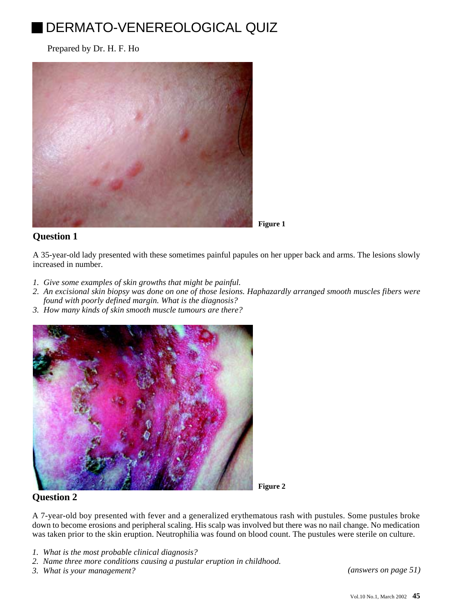# DERMATO-VENEREOLOGICAL QUIZ

Prepared by Dr. H. F. Ho



**Figure 1**

## **Question 1**

A 35-year-old lady presented with these sometimes painful papules on her upper back and arms. The lesions slowly increased in number.

- *1. Give some examples of skin growths that might be painful.*
- *2. An excisional skin biopsy was done on one of those lesions. Haphazardly arranged smooth muscles fibers were found with poorly defined margin. What is the diagnosis?*
- *3. How many kinds of skin smooth muscle tumours are there?*



**Figure 2**

## **Question 2**

A 7-year-old boy presented with fever and a generalized erythematous rash with pustules. Some pustules broke down to become erosions and peripheral scaling. His scalp was involved but there was no nail change. No medication was taken prior to the skin eruption. Neutrophilia was found on blood count. The pustules were sterile on culture.

- *1. What is the most probable clinical diagnosis?*
- *2. Name three more conditions causing a pustular eruption in childhood.*
- *3. What is your management? [\(answers on page 51\)](200203-12a.pdf)*